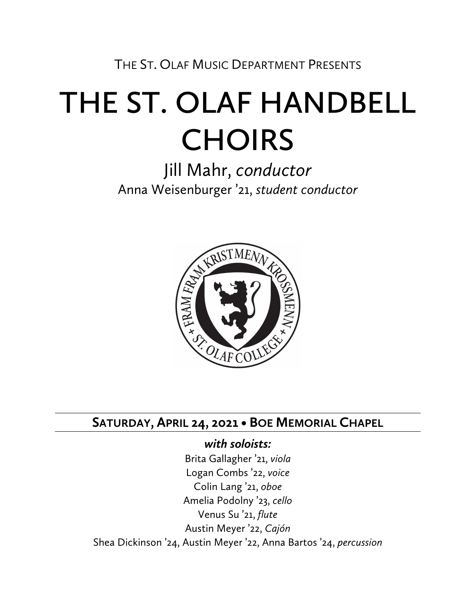THE ST. OLAF MUSIC DEPARTMENT PRESENTS

# **THE ST. OLAF HANDBELL CHOIRS**

Jill Mahr, *conductor* Anna Weisenburger '21, *student conductor*



# **SATURDAY, APRIL 24, 2021 • BOE MEMORIAL CHAPEL**

## *with soloists:*

Brita Gallagher '21, *viola* Logan Combs '22, *voice* Colin Lang '21, *oboe* Amelia Podolny '23, *cello* Venus Su '21, *flute* Austin Meyer '22, *Cajón*  Shea Dickinson '24, Austin Meyer '22, Anna Bartos '24, *percussion*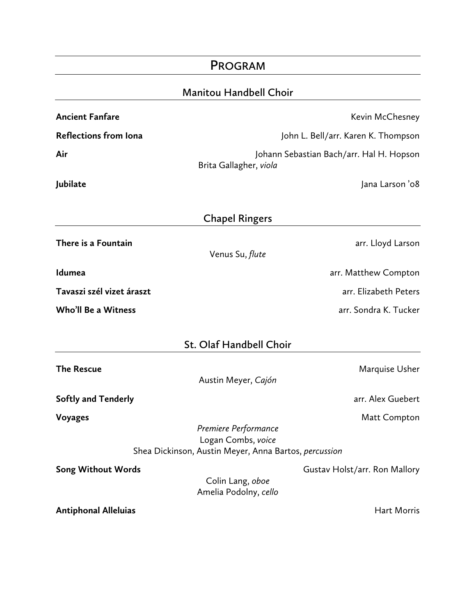|                               | <b>PROGRAM</b>                                                                                      |                                          |
|-------------------------------|-----------------------------------------------------------------------------------------------------|------------------------------------------|
| <b>Manitou Handbell Choir</b> |                                                                                                     |                                          |
| <b>Ancient Fanfare</b>        |                                                                                                     | Kevin McChesney                          |
| <b>Reflections from lona</b>  |                                                                                                     | John L. Bell/arr. Karen K. Thompson      |
| Air                           | Brita Gallagher, viola                                                                              | Johann Sebastian Bach/arr. Hal H. Hopson |
| Jubilate                      |                                                                                                     | Jana Larson '08                          |
|                               | <b>Chapel Ringers</b>                                                                               |                                          |
| There is a Fountain           | Venus Su, flute                                                                                     | arr. Lloyd Larson                        |
| Idumea                        |                                                                                                     | arr. Matthew Compton                     |
| Tavaszi szél vizet áraszt     |                                                                                                     | arr. Elizabeth Peters                    |
| <b>Who'll Be a Witness</b>    |                                                                                                     | arr. Sondra K. Tucker                    |
|                               | St. Olaf Handbell Choir                                                                             |                                          |
| <b>The Rescue</b>             | Austin Meyer, Cajón                                                                                 | Marquise Usher                           |
| <b>Softly and Tenderly</b>    |                                                                                                     | arr. Alex Guebert                        |
| <b>Voyages</b>                | Premiere Performance<br>Logan Combs, voice<br>Shea Dickinson, Austin Meyer, Anna Bartos, percussion | Matt Compton                             |
|                               |                                                                                                     |                                          |
| <b>Song Without Words</b>     | Colin Lang, oboe<br>Amelia Podolny, cello                                                           | Gustav Holst/arr. Ron Mallory            |
| <b>Antiphonal Alleluias</b>   |                                                                                                     | <b>Hart Morris</b>                       |
|                               |                                                                                                     |                                          |